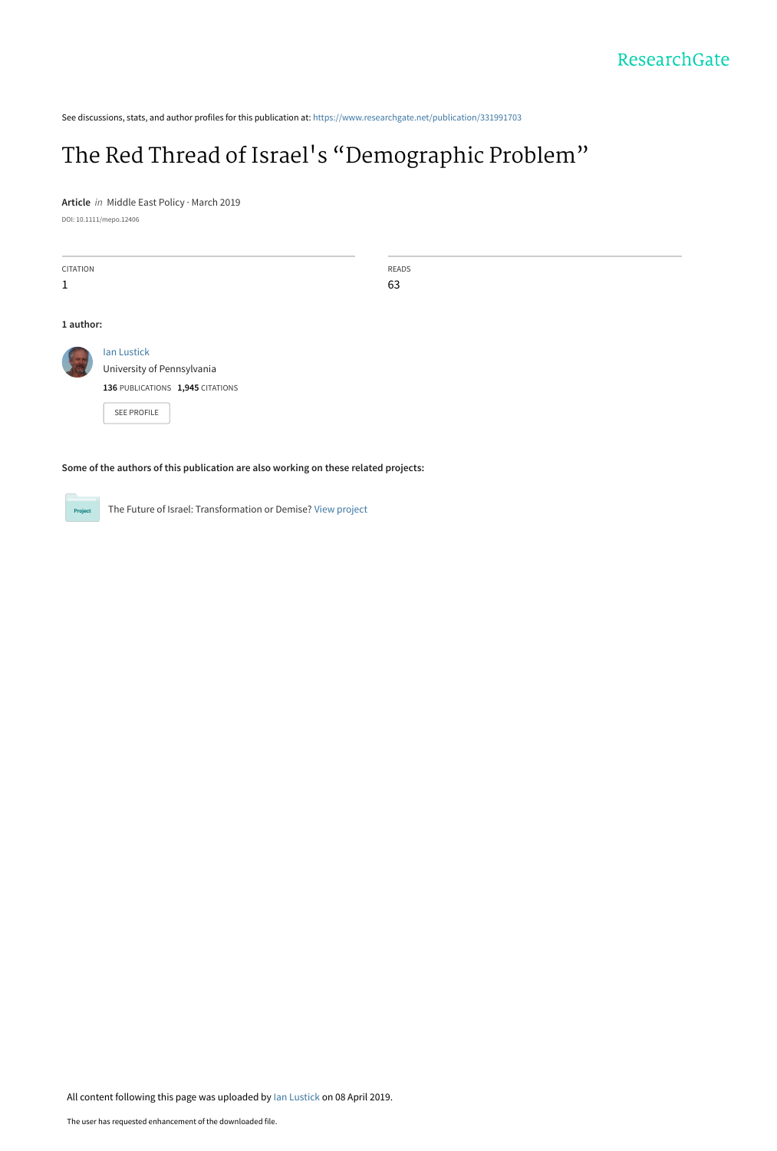See discussions, stats, and author profiles for this publication at: [https://www.researchgate.net/publication/331991703](https://www.researchgate.net/publication/331991703_The_Red_Thread_of_Israel%27s_Demographic_Problem?enrichId=rgreq-d4cb8ecf62c1ba6db5c7b61ccf677164-XXX&enrichSource=Y292ZXJQYWdlOzMzMTk5MTcwMztBUzo3NDU0ODIxODc5ODg5OTJAMTU1NDc0ODIxMjA0Mg%3D%3D&el=1_x_2&_esc=publicationCoverPdf)

## The Red Thread of Israel['s "Demographic Problem"](https://www.researchgate.net/publication/331991703_The_Red_Thread_of_Israel%27s_Demographic_Problem?enrichId=rgreq-d4cb8ecf62c1ba6db5c7b61ccf677164-XXX&enrichSource=Y292ZXJQYWdlOzMzMTk5MTcwMztBUzo3NDU0ODIxODc5ODg5OTJAMTU1NDc0ODIxMjA0Mg%3D%3D&el=1_x_3&_esc=publicationCoverPdf)

**Article** in Middle East Policy · March 2019

DOI: 10.1111/mepo.12406

i.

| <b>CITATION</b> |                                  |    | <b>READS</b> |
|-----------------|----------------------------------|----|--------------|
| $\mathbf{1}$    |                                  | 63 |              |
|                 |                                  |    |              |
| 1 author:       |                                  |    |              |
|                 | <b>Ian Lustick</b>               |    |              |
|                 | University of Pennsylvania       |    |              |
|                 | 136 PUBLICATIONS 1,945 CITATIONS |    |              |
|                 | <b>SEE PROFILE</b>               |    |              |
|                 |                                  |    |              |

**Some of the authors of this publication are also working on these related projects:**



The Future of Israel: Transformation or Demise? [View project](https://www.researchgate.net/project/The-Future-of-Israel-Transformation-or-Demise?enrichId=rgreq-d4cb8ecf62c1ba6db5c7b61ccf677164-XXX&enrichSource=Y292ZXJQYWdlOzMzMTk5MTcwMztBUzo3NDU0ODIxODc5ODg5OTJAMTU1NDc0ODIxMjA0Mg%3D%3D&el=1_x_9&_esc=publicationCoverPdf)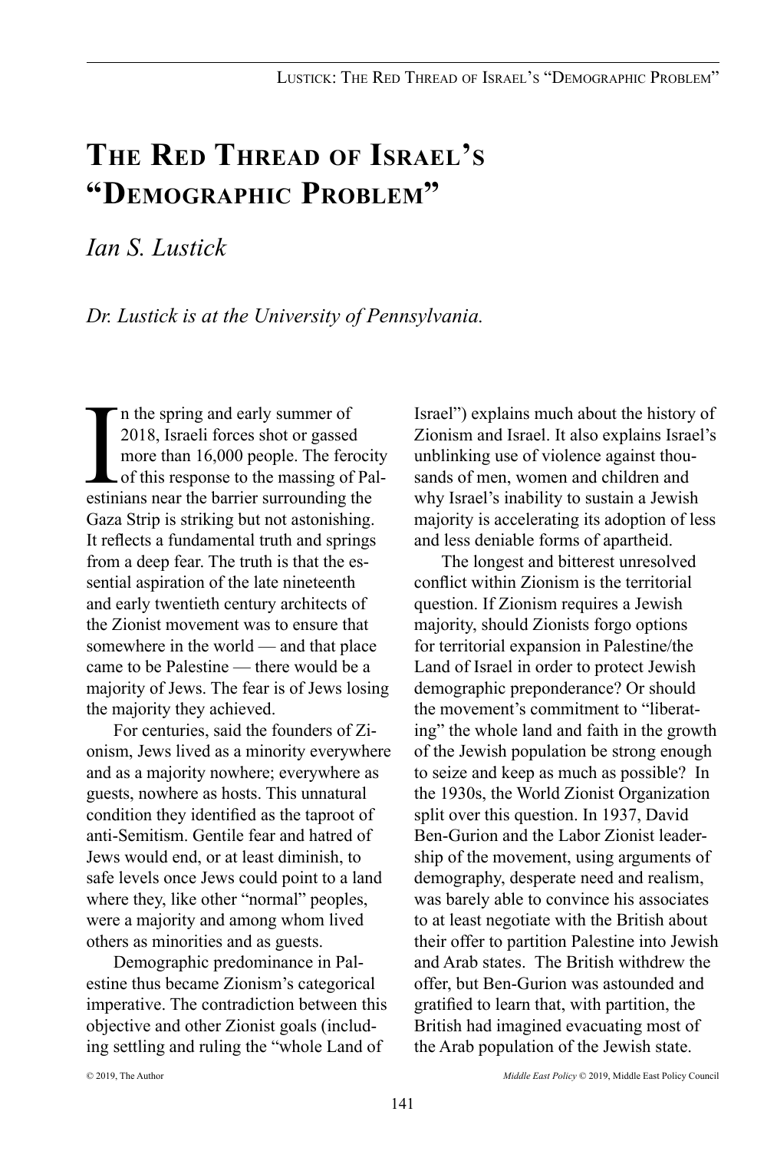## **The Red Thread of Israel's "Demographic Problem"**

*Ian S. Lustick*

*Dr. Lustick is at the University of Pennsylvania.*

In the spring and early summer of 2018, Israeli forces shot or gassed<br>more than 16,000 people. The ferocit<br>of this response to the massing of Pa<br>estinians near the barrier surrounding the n the spring and early summer of 2018, Israeli forces shot or gassed more than 16,000 people. The ferocity of this response to the massing of Pal-Gaza Strip is striking but not astonishing. It reflects a fundamental truth and springs from a deep fear. The truth is that the essential aspiration of the late nineteenth and early twentieth century architects of the Zionist movement was to ensure that somewhere in the world — and that place came to be Palestine — there would be a majority of Jews. The fear is of Jews losing the majority they achieved.

For centuries, said the founders of Zionism, Jews lived as a minority everywhere and as a majority nowhere; everywhere as guests, nowhere as hosts. This unnatural condition they identified as the taproot of anti-Semitism. Gentile fear and hatred of Jews would end, or at least diminish, to safe levels once Jews could point to a land where they, like other "normal" peoples, were a majority and among whom lived others as minorities and as guests.

Demographic predominance in Palestine thus became Zionism's categorical imperative. The contradiction between this objective and other Zionist goals (including settling and ruling the "whole Land of

Israel") explains much about the history of Zionism and Israel. It also explains Israel's unblinking use of violence against thousands of men, women and children and why Israel's inability to sustain a Jewish majority is accelerating its adoption of less and less deniable forms of apartheid.

The longest and bitterest unresolved conflict within Zionism is the territorial question. If Zionism requires a Jewish majority, should Zionists forgo options for territorial expansion in Palestine/the Land of Israel in order to protect Jewish demographic preponderance? Or should the movement's commitment to "liberating" the whole land and faith in the growth of the Jewish population be strong enough to seize and keep as much as possible? In the 1930s, the World Zionist Organization split over this question. In 1937, David Ben-Gurion and the Labor Zionist leadership of the movement, using arguments of demography, desperate need and realism, was barely able to convince his associates to at least negotiate with the British about their offer to partition Palestine into Jewish and Arab states. The British withdrew the offer, but Ben-Gurion was astounded and gratified to learn that, with partition, the British had imagined evacuating most of the Arab population of the Jewish state.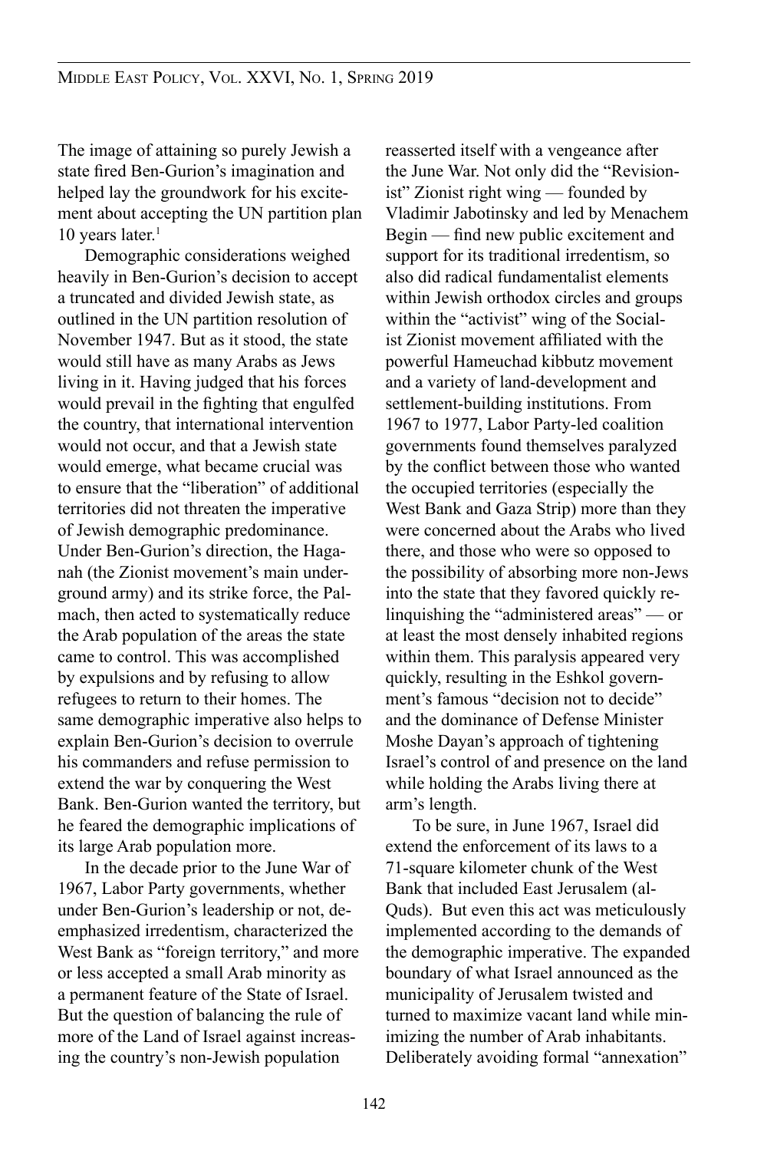The image of attaining so purely Jewish a state fired Ben-Gurion's imagination and helped lay the groundwork for his excitement about accepting the UN partition plan 10 years later.<sup>1</sup>

Demographic considerations weighed heavily in Ben-Gurion's decision to accept a truncated and divided Jewish state, as outlined in the UN partition resolution of November 1947. But as it stood, the state would still have as many Arabs as Jews living in it. Having judged that his forces would prevail in the fighting that engulfed the country, that international intervention would not occur, and that a Jewish state would emerge, what became crucial was to ensure that the "liberation" of additional territories did not threaten the imperative of Jewish demographic predominance. Under Ben-Gurion's direction, the Haganah (the Zionist movement's main underground army) and its strike force, the Palmach, then acted to systematically reduce the Arab population of the areas the state came to control. This was accomplished by expulsions and by refusing to allow refugees to return to their homes. The same demographic imperative also helps to explain Ben-Gurion's decision to overrule his commanders and refuse permission to extend the war by conquering the West Bank. Ben-Gurion wanted the territory, but he feared the demographic implications of its large Arab population more.

In the decade prior to the June War of 1967, Labor Party governments, whether under Ben-Gurion's leadership or not, deemphasized irredentism, characterized the West Bank as "foreign territory," and more or less accepted a small Arab minority as a permanent feature of the State of Israel. But the question of balancing the rule of more of the Land of Israel against increasing the country's non-Jewish population

reasserted itself with a vengeance after the June War. Not only did the "Revisionist" Zionist right wing — founded by Vladimir Jabotinsky and led by Menachem Begin — find new public excitement and support for its traditional irredentism, so also did radical fundamentalist elements within Jewish orthodox circles and groups within the "activist" wing of the Socialist Zionist movement affiliated with the powerful Hameuchad kibbutz movement and a variety of land-development and settlement-building institutions. From 1967 to 1977, Labor Party-led coalition governments found themselves paralyzed by the conflict between those who wanted the occupied territories (especially the West Bank and Gaza Strip) more than they were concerned about the Arabs who lived there, and those who were so opposed to the possibility of absorbing more non-Jews into the state that they favored quickly relinquishing the "administered areas" — or at least the most densely inhabited regions within them. This paralysis appeared very quickly, resulting in the Eshkol government's famous "decision not to decide" and the dominance of Defense Minister Moshe Dayan's approach of tightening Israel's control of and presence on the land while holding the Arabs living there at arm's length.

To be sure, in June 1967, Israel did extend the enforcement of its laws to a 71-square kilometer chunk of the West Bank that included East Jerusalem (al-Quds). But even this act was meticulously implemented according to the demands of the demographic imperative. The expanded boundary of what Israel announced as the municipality of Jerusalem twisted and turned to maximize vacant land while minimizing the number of Arab inhabitants. Deliberately avoiding formal "annexation"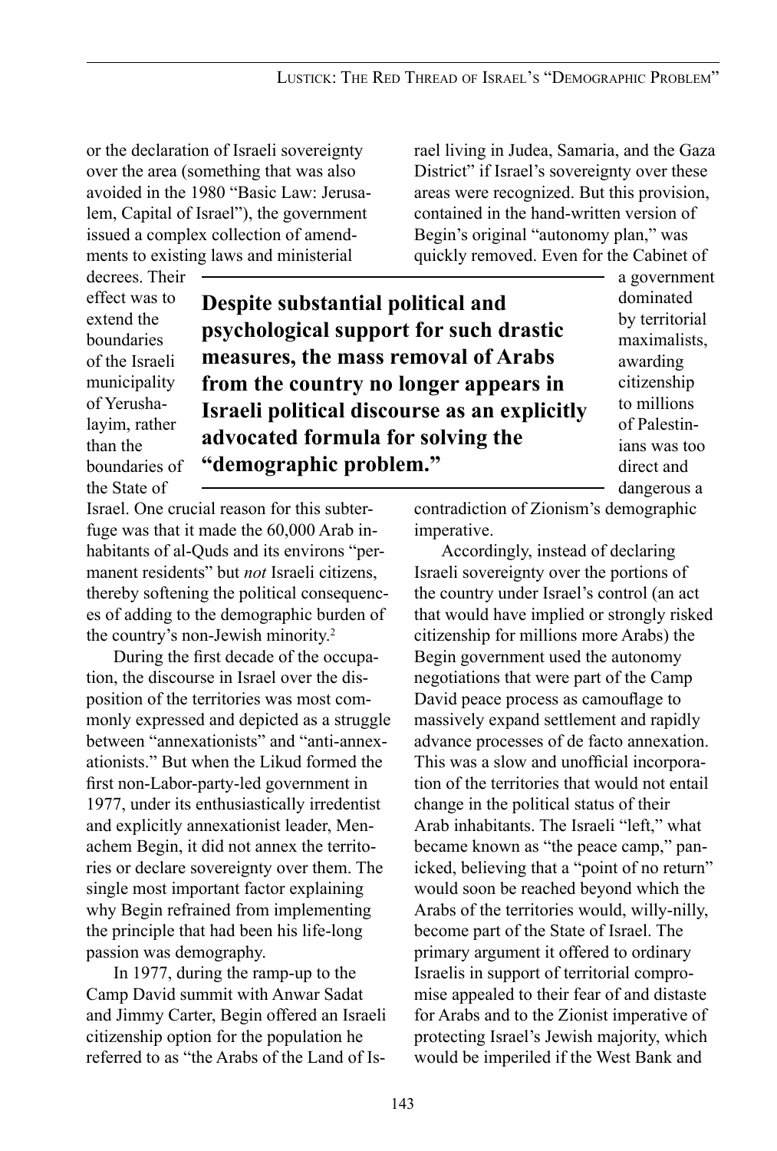or the declaration of Israeli sovereignty over the area (something that was also avoided in the 1980 "Basic Law: Jerusalem, Capital of Israel"), the government issued a complex collection of amendments to existing laws and ministerial

rael living in Judea, Samaria, and the Gaza District" if Israel's sovereignty over these areas were recognized. But this provision, contained in the hand-written version of Begin's original "autonomy plan," was quickly removed. Even for the Cabinet of

decrees. Their effect was to extend the boundaries of the Israeli municipality of Yerushalayim, rather than the boundaries of the State of

**Despite substantial political and psychological support for such drastic measures, the mass removal of Arabs from the country no longer appears in Israeli political discourse as an explicitly advocated formula for solving the "demographic problem."**

a government dominated by territorial maximalists, awarding citizenship to millions of Palestinians was too direct and dangerous a

Israel. One crucial reason for this subterfuge was that it made the 60,000 Arab inhabitants of al-Quds and its environs "permanent residents" but *not* Israeli citizens, thereby softening the political consequences of adding to the demographic burden of the country's non-Jewish minority.2

During the first decade of the occupation, the discourse in Israel over the disposition of the territories was most commonly expressed and depicted as a struggle between "annexationists" and "anti-annexationists." But when the Likud formed the first non-Labor-party-led government in 1977, under its enthusiastically irredentist and explicitly annexationist leader, Menachem Begin, it did not annex the territories or declare sovereignty over them. The single most important factor explaining why Begin refrained from implementing the principle that had been his life-long passion was demography.

In 1977, during the ramp-up to the Camp David summit with Anwar Sadat and Jimmy Carter, Begin offered an Israeli citizenship option for the population he referred to as "the Arabs of the Land of Iscontradiction of Zionism's demographic imperative.

Accordingly, instead of declaring Israeli sovereignty over the portions of the country under Israel's control (an act that would have implied or strongly risked citizenship for millions more Arabs) the Begin government used the autonomy negotiations that were part of the Camp David peace process as camouflage to massively expand settlement and rapidly advance processes of de facto annexation. This was a slow and unofficial incorporation of the territories that would not entail change in the political status of their Arab inhabitants. The Israeli "left," what became known as "the peace camp," panicked, believing that a "point of no return" would soon be reached beyond which the Arabs of the territories would, willy-nilly, become part of the State of Israel. The primary argument it offered to ordinary Israelis in support of territorial compromise appealed to their fear of and distaste for Arabs and to the Zionist imperative of protecting Israel's Jewish majority, which would be imperiled if the West Bank and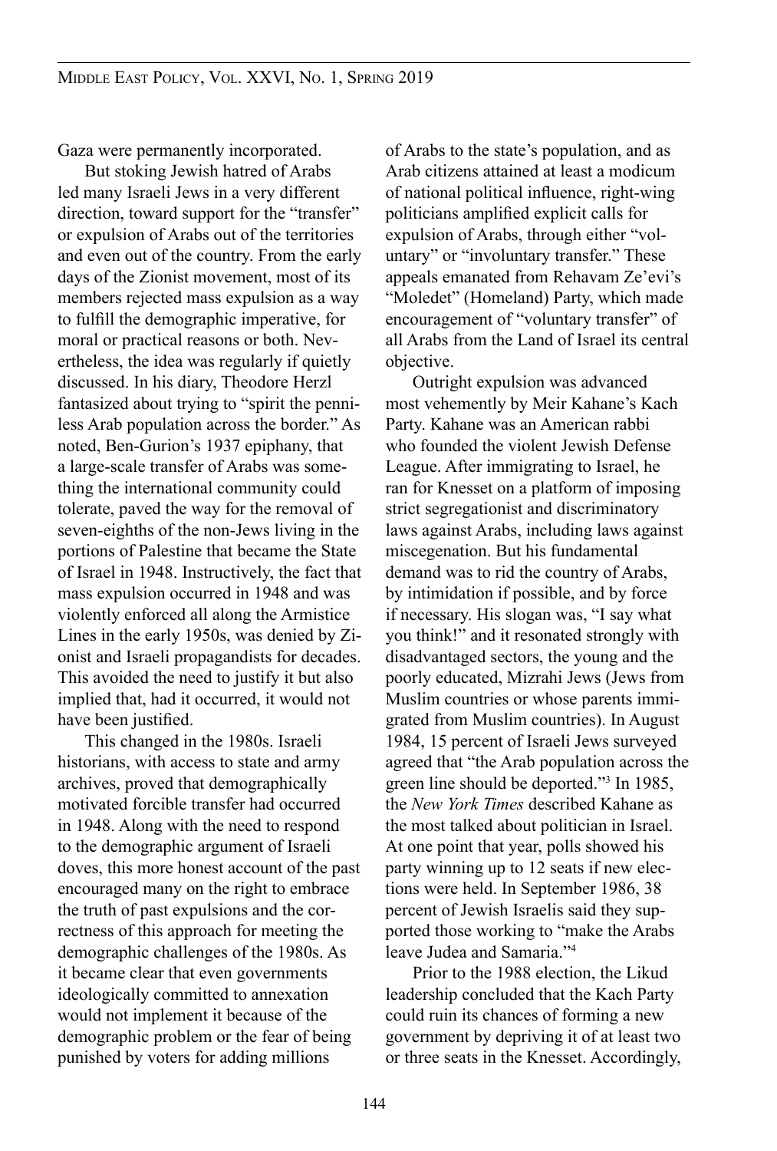Gaza were permanently incorporated.

But stoking Jewish hatred of Arabs led many Israeli Jews in a very different direction, toward support for the "transfer" or expulsion of Arabs out of the territories and even out of the country. From the early days of the Zionist movement, most of its members rejected mass expulsion as a way to fulfill the demographic imperative, for moral or practical reasons or both. Nevertheless, the idea was regularly if quietly discussed. In his diary, Theodore Herzl fantasized about trying to "spirit the penniless Arab population across the border." As noted, Ben-Gurion's 1937 epiphany, that a large-scale transfer of Arabs was something the international community could tolerate, paved the way for the removal of seven-eighths of the non-Jews living in the portions of Palestine that became the State of Israel in 1948. Instructively, the fact that mass expulsion occurred in 1948 and was violently enforced all along the Armistice Lines in the early 1950s, was denied by Zionist and Israeli propagandists for decades. This avoided the need to justify it but also implied that, had it occurred, it would not have been justified.

This changed in the 1980s. Israeli historians, with access to state and army archives, proved that demographically motivated forcible transfer had occurred in 1948. Along with the need to respond to the demographic argument of Israeli doves, this more honest account of the past encouraged many on the right to embrace the truth of past expulsions and the correctness of this approach for meeting the demographic challenges of the 1980s. As it became clear that even governments ideologically committed to annexation would not implement it because of the demographic problem or the fear of being punished by voters for adding millions

of Arabs to the state's population, and as Arab citizens attained at least a modicum of national political influence, right-wing politicians amplified explicit calls for expulsion of Arabs, through either "voluntary" or "involuntary transfer." These appeals emanated from Rehavam Ze'evi's "Moledet" (Homeland) Party, which made encouragement of "voluntary transfer" of all Arabs from the Land of Israel its central objective.

Outright expulsion was advanced most vehemently by Meir Kahane's Kach Party. Kahane was an American rabbi who founded the violent Jewish Defense League. After immigrating to Israel, he ran for Knesset on a platform of imposing strict segregationist and discriminatory laws against Arabs, including laws against miscegenation. But his fundamental demand was to rid the country of Arabs, by intimidation if possible, and by force if necessary. His slogan was, "I say what you think!" and it resonated strongly with disadvantaged sectors, the young and the poorly educated, Mizrahi Jews (Jews from Muslim countries or whose parents immigrated from Muslim countries). In August 1984, 15 percent of Israeli Jews surveyed agreed that "the Arab population across the green line should be deported."3 In 1985, the *New York Times* described Kahane as the most talked about politician in Israel. At one point that year, polls showed his party winning up to 12 seats if new elections were held. In September 1986, 38 percent of Jewish Israelis said they supported those working to "make the Arabs leave Judea and Samaria."4

Prior to the 1988 election, the Likud leadership concluded that the Kach Party could ruin its chances of forming a new government by depriving it of at least two or three seats in the Knesset. Accordingly,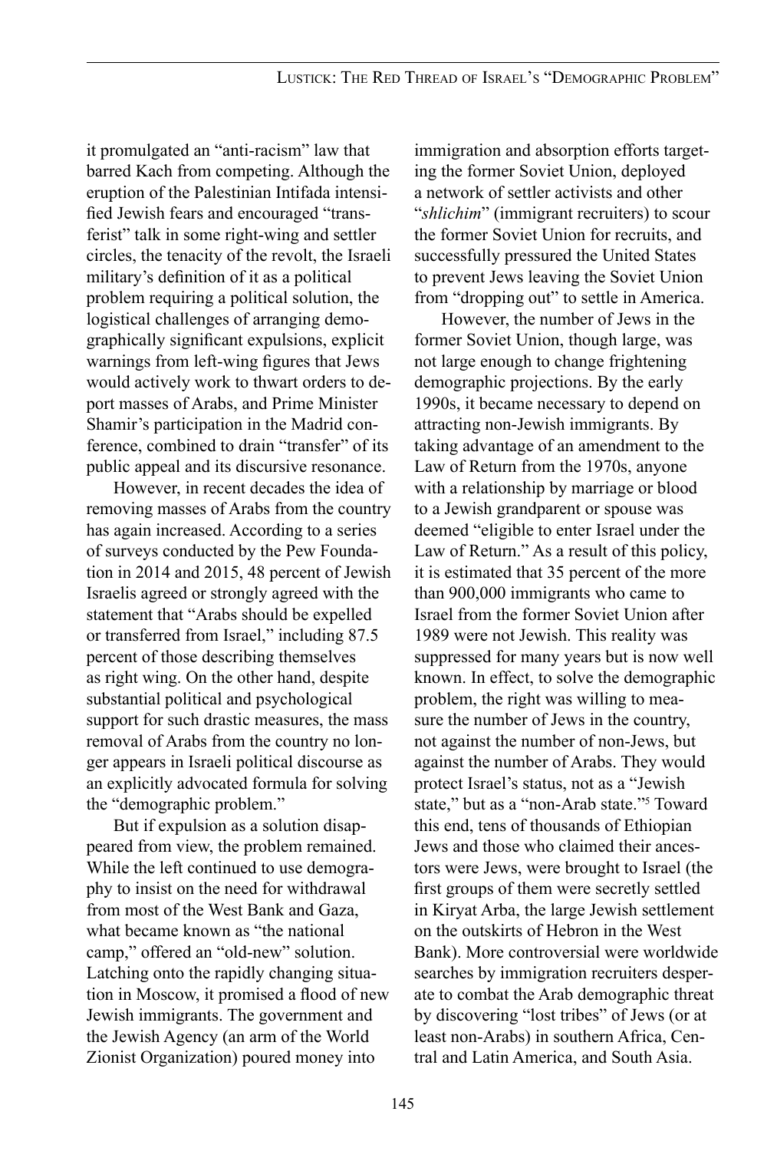it promulgated an "anti-racism" law that barred Kach from competing. Although the eruption of the Palestinian Intifada intensified Jewish fears and encouraged "transferist" talk in some right-wing and settler circles, the tenacity of the revolt, the Israeli military's definition of it as a political problem requiring a political solution, the logistical challenges of arranging demographically significant expulsions, explicit warnings from left-wing figures that Jews would actively work to thwart orders to deport masses of Arabs, and Prime Minister Shamir's participation in the Madrid conference, combined to drain "transfer" of its public appeal and its discursive resonance.

However, in recent decades the idea of removing masses of Arabs from the country has again increased. According to a series of surveys conducted by the Pew Foundation in 2014 and 2015, 48 percent of Jewish Israelis agreed or strongly agreed with the statement that "Arabs should be expelled or transferred from Israel," including 87.5 percent of those describing themselves as right wing. On the other hand, despite substantial political and psychological support for such drastic measures, the mass removal of Arabs from the country no longer appears in Israeli political discourse as an explicitly advocated formula for solving the "demographic problem."

But if expulsion as a solution disappeared from view, the problem remained. While the left continued to use demography to insist on the need for withdrawal from most of the West Bank and Gaza, what became known as "the national camp," offered an "old-new" solution. Latching onto the rapidly changing situation in Moscow, it promised a flood of new Jewish immigrants. The government and the Jewish Agency (an arm of the World Zionist Organization) poured money into

immigration and absorption efforts targeting the former Soviet Union, deployed a network of settler activists and other "*shlichim*" (immigrant recruiters) to scour the former Soviet Union for recruits, and successfully pressured the United States to prevent Jews leaving the Soviet Union from "dropping out" to settle in America.

However, the number of Jews in the former Soviet Union, though large, was not large enough to change frightening demographic projections. By the early 1990s, it became necessary to depend on attracting non-Jewish immigrants. By taking advantage of an amendment to the Law of Return from the 1970s, anyone with a relationship by marriage or blood to a Jewish grandparent or spouse was deemed "eligible to enter Israel under the Law of Return." As a result of this policy, it is estimated that 35 percent of the more than 900,000 immigrants who came to Israel from the former Soviet Union after 1989 were not Jewish. This reality was suppressed for many years but is now well known. In effect, to solve the demographic problem, the right was willing to measure the number of Jews in the country, not against the number of non-Jews, but against the number of Arabs. They would protect Israel's status, not as a "Jewish state," but as a "non-Arab state."5 Toward this end, tens of thousands of Ethiopian Jews and those who claimed their ancestors were Jews, were brought to Israel (the first groups of them were secretly settled in Kiryat Arba, the large Jewish settlement on the outskirts of Hebron in the West Bank). More controversial were worldwide searches by immigration recruiters desperate to combat the Arab demographic threat by discovering "lost tribes" of Jews (or at least non-Arabs) in southern Africa, Central and Latin America, and South Asia.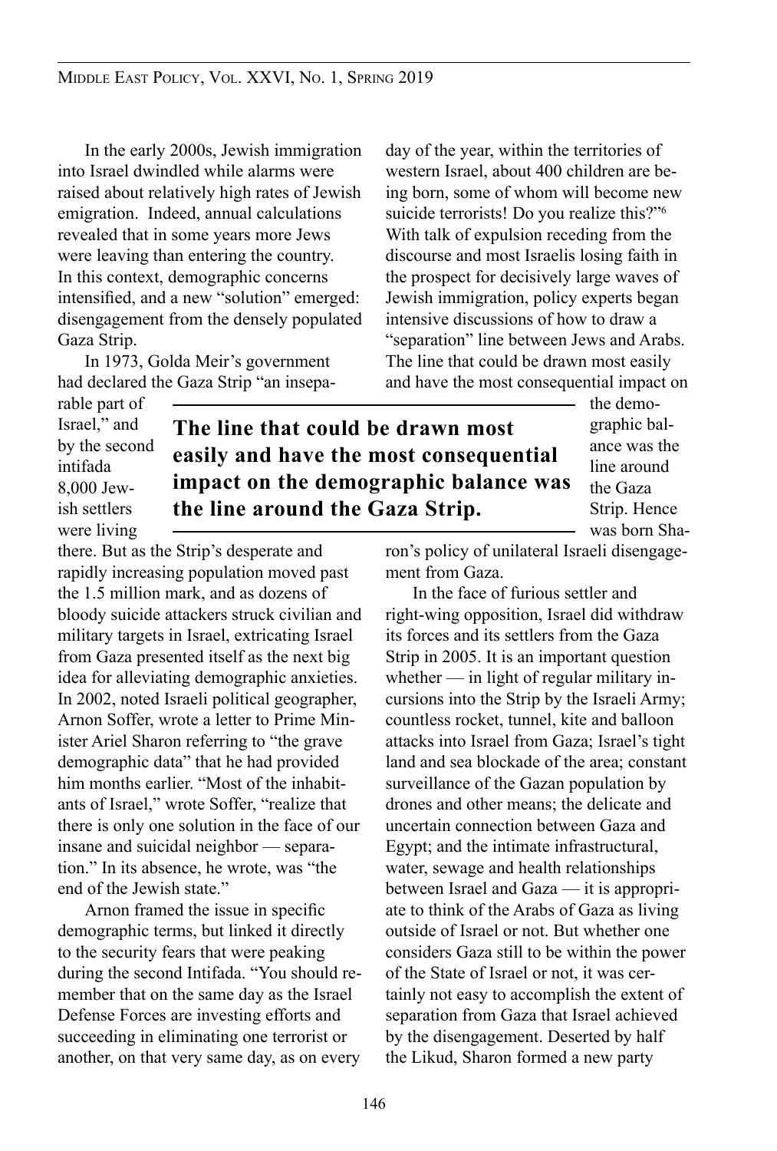In the early 2000s, Jewish immigration into Israel dwindled while alarms were raised about relatively high rates of Jewish emigration. Indeed, annual calculations revealed that in some years more Jews were leaving than entering the country. In this context, demographic concerns intensified, and a new "solution" emerged: disengagement from the densely populated Gaza Strip.

In 1973, Golda Meir's government had declared the Gaza Strip "an insepa-

rable part of Israel," and by the second intifada

**The line that could be drawn most easily and have the most consequential impact on the demographic balance was the line around the Gaza Strip.**

the demographic balance was the line around the Gaza Strip. Hence was born Sha-

ron's policy of unilateral Israeli disengagement from Gaza.

day of the year, within the territories of western Israel, about 400 children are being born, some of whom will become new suicide terrorists! Do you realize this?"<sup>6</sup> With talk of expulsion receding from the discourse and most Israelis losing faith in the prospect for decisively large waves of Jewish immigration, policy experts began intensive discussions of how to draw a "separation" line between Jews and Arabs. The line that could be drawn most easily and have the most consequential impact on

In the face of furious settler and right-wing opposition, Israel did withdraw its forces and its settlers from the Gaza Strip in 2005. It is an important question whether — in light of regular military incursions into the Strip by the Israeli Army; countless rocket, tunnel, kite and balloon attacks into Israel from Gaza; Israel's tight land and sea blockade of the area; constant surveillance of the Gazan population by drones and other means; the delicate and uncertain connection between Gaza and Egypt; and the intimate infrastructural, water, sewage and health relationships between Israel and Gaza — it is appropriate to think of the Arabs of Gaza as living outside of Israel or not. But whether one considers Gaza still to be within the power of the State of Israel or not, it was certainly not easy to accomplish the extent of separation from Gaza that Israel achieved by the disengagement. Deserted by half the Likud, Sharon formed a new party

8,000 Jewish settlers were living

there. But as the Strip's desperate and rapidly increasing population moved past the 1.5 million mark, and as dozens of bloody suicide attackers struck civilian and military targets in Israel, extricating Israel from Gaza presented itself as the next big idea for alleviating demographic anxieties. In 2002, noted Israeli political geographer, Arnon Soffer, wrote a letter to Prime Minister Ariel Sharon referring to "the grave demographic data" that he had provided him months earlier. "Most of the inhabitants of Israel," wrote Soffer, "realize that there is only one solution in the face of our insane and suicidal neighbor — separation." In its absence, he wrote, was "the end of the Jewish state."

Arnon framed the issue in specific demographic terms, but linked it directly to the security fears that were peaking during the second Intifada. "You should remember that on the same day as the Israel Defense Forces are investing efforts and succeeding in eliminating one terrorist or another, on that very same day, as on every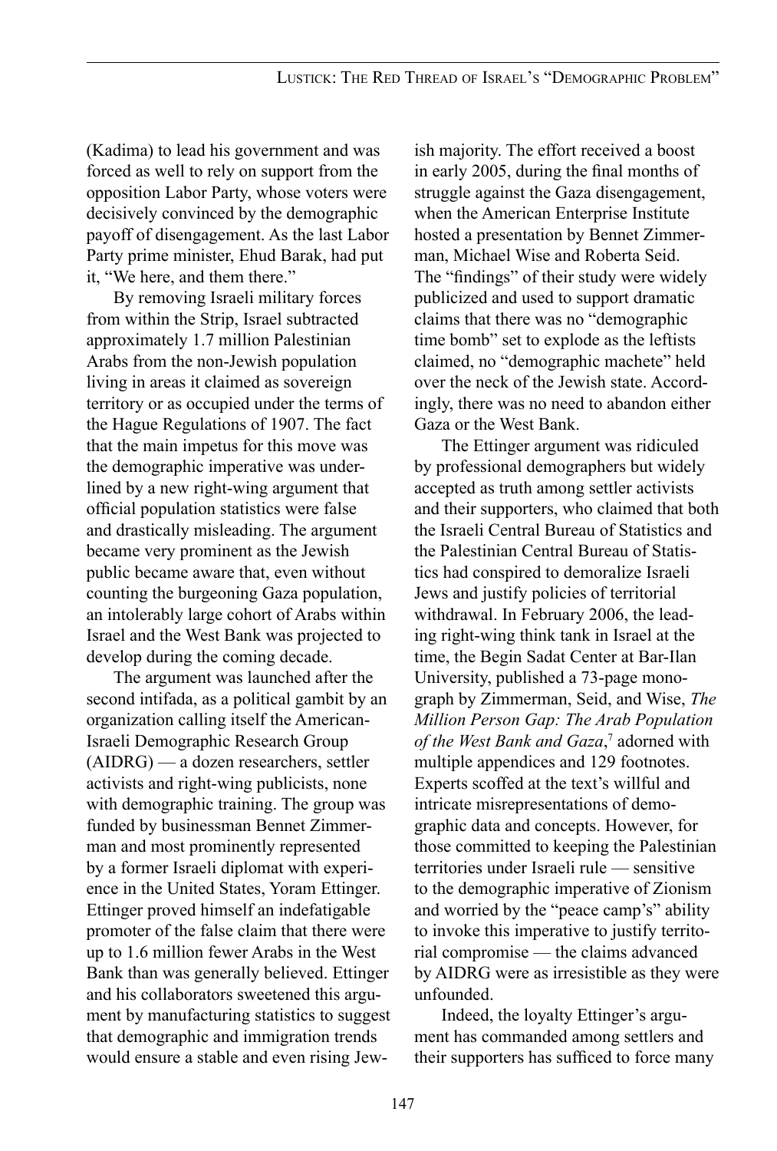(Kadima) to lead his government and was forced as well to rely on support from the opposition Labor Party, whose voters were decisively convinced by the demographic payoff of disengagement. As the last Labor Party prime minister, Ehud Barak, had put it, "We here, and them there."

By removing Israeli military forces from within the Strip, Israel subtracted approximately 1.7 million Palestinian Arabs from the non-Jewish population living in areas it claimed as sovereign territory or as occupied under the terms of the Hague Regulations of 1907. The fact that the main impetus for this move was the demographic imperative was underlined by a new right-wing argument that official population statistics were false and drastically misleading. The argument became very prominent as the Jewish public became aware that, even without counting the burgeoning Gaza population, an intolerably large cohort of Arabs within Israel and the West Bank was projected to develop during the coming decade.

The argument was launched after the second intifada, as a political gambit by an organization calling itself the American-Israeli Demographic Research Group (AIDRG) — a dozen researchers, settler activists and right-wing publicists, none with demographic training. The group was funded by businessman Bennet Zimmerman and most prominently represented by a former Israeli diplomat with experience in the United States, Yoram Ettinger. Ettinger proved himself an indefatigable promoter of the false claim that there were up to 1.6 million fewer Arabs in the West Bank than was generally believed. Ettinger and his collaborators sweetened this argument by manufacturing statistics to suggest that demographic and immigration trends would ensure a stable and even rising Jewish majority. The effort received a boost in early 2005, during the final months of struggle against the Gaza disengagement, when the American Enterprise Institute hosted a presentation by Bennet Zimmerman, Michael Wise and Roberta Seid. The "findings" of their study were widely publicized and used to support dramatic claims that there was no "demographic time bomb" set to explode as the leftists claimed, no "demographic machete" held over the neck of the Jewish state. Accordingly, there was no need to abandon either Gaza or the West Bank.

The Ettinger argument was ridiculed by professional demographers but widely accepted as truth among settler activists and their supporters, who claimed that both the Israeli Central Bureau of Statistics and the Palestinian Central Bureau of Statistics had conspired to demoralize Israeli Jews and justify policies of territorial withdrawal. In February 2006, the leading right-wing think tank in Israel at the time, the Begin Sadat Center at Bar-Ilan University, published a 73-page monograph by Zimmerman, Seid, and Wise, *The Million Person Gap: The Arab Population of the West Bank and Gaza*, <sup>7</sup> adorned with multiple appendices and 129 footnotes. Experts scoffed at the text's willful and intricate misrepresentations of demographic data and concepts. However, for those committed to keeping the Palestinian territories under Israeli rule — sensitive to the demographic imperative of Zionism and worried by the "peace camp's" ability to invoke this imperative to justify territorial compromise — the claims advanced by AIDRG were as irresistible as they were unfounded.

Indeed, the loyalty Ettinger's argument has commanded among settlers and their supporters has sufficed to force many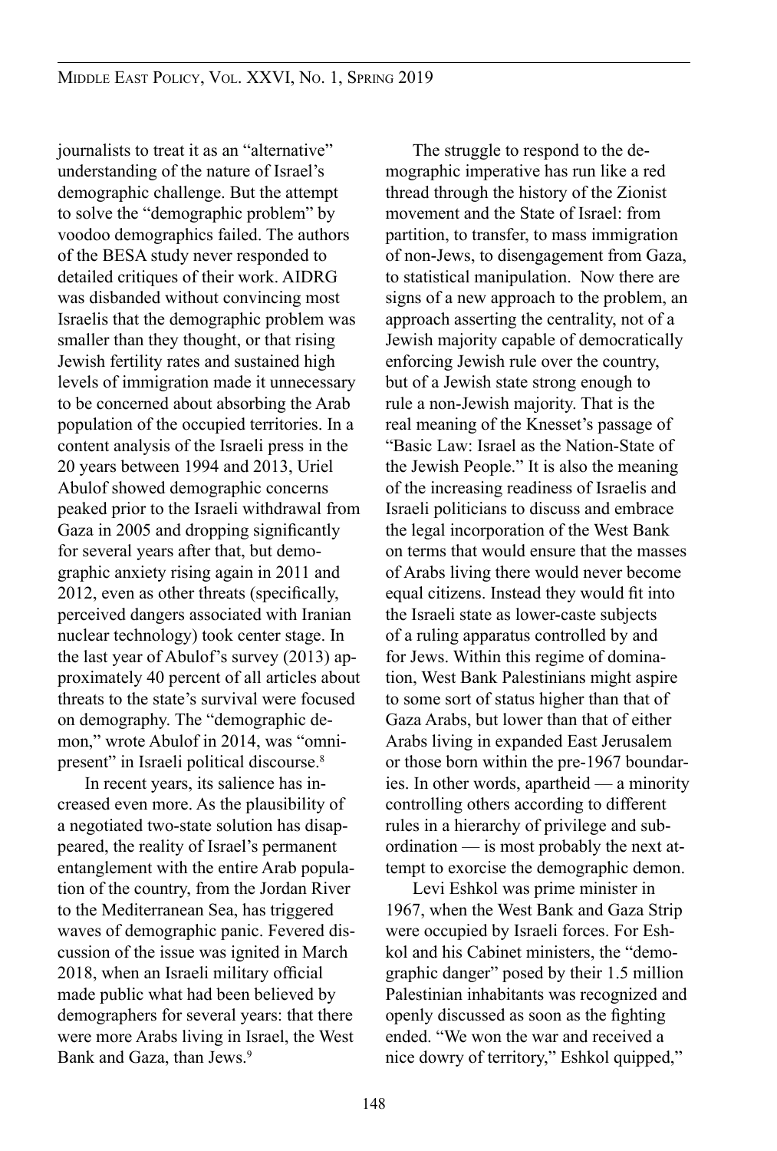journalists to treat it as an "alternative" understanding of the nature of Israel's demographic challenge. But the attempt to solve the "demographic problem" by voodoo demographics failed. The authors of the BESA study never responded to detailed critiques of their work. AIDRG was disbanded without convincing most Israelis that the demographic problem was smaller than they thought, or that rising Jewish fertility rates and sustained high levels of immigration made it unnecessary to be concerned about absorbing the Arab population of the occupied territories. In a content analysis of the Israeli press in the 20 years between 1994 and 2013, Uriel Abulof showed demographic concerns peaked prior to the Israeli withdrawal from Gaza in 2005 and dropping significantly for several years after that, but demographic anxiety rising again in 2011 and 2012, even as other threats (specifically, perceived dangers associated with Iranian nuclear technology) took center stage. In the last year of Abulof's survey (2013) approximately 40 percent of all articles about threats to the state's survival were focused on demography. The "demographic demon," wrote Abulof in 2014, was "omnipresent" in Israeli political discourse.<sup>8</sup>

In recent years, its salience has increased even more. As the plausibility of a negotiated two-state solution has disappeared, the reality of Israel's permanent entanglement with the entire Arab population of the country, from the Jordan River to the Mediterranean Sea, has triggered waves of demographic panic. Fevered discussion of the issue was ignited in March 2018, when an Israeli military official made public what had been believed by demographers for several years: that there were more Arabs living in Israel, the West Bank and Gaza, than Jews.<sup>9</sup>

The struggle to respond to the demographic imperative has run like a red thread through the history of the Zionist movement and the State of Israel: from partition, to transfer, to mass immigration of non-Jews, to disengagement from Gaza, to statistical manipulation. Now there are signs of a new approach to the problem, an approach asserting the centrality, not of a Jewish majority capable of democratically enforcing Jewish rule over the country, but of a Jewish state strong enough to rule a non-Jewish majority. That is the real meaning of the Knesset's passage of "Basic Law: Israel as the Nation-State of the Jewish People." It is also the meaning of the increasing readiness of Israelis and Israeli politicians to discuss and embrace the legal incorporation of the West Bank on terms that would ensure that the masses of Arabs living there would never become equal citizens. Instead they would fit into the Israeli state as lower-caste subjects of a ruling apparatus controlled by and for Jews. Within this regime of domination, West Bank Palestinians might aspire to some sort of status higher than that of Gaza Arabs, but lower than that of either Arabs living in expanded East Jerusalem or those born within the pre-1967 boundaries. In other words, apartheid — a minority controlling others according to different rules in a hierarchy of privilege and subordination — is most probably the next attempt to exorcise the demographic demon.

Levi Eshkol was prime minister in 1967, when the West Bank and Gaza Strip were occupied by Israeli forces. For Eshkol and his Cabinet ministers, the "demographic danger" posed by their 1.5 million Palestinian inhabitants was recognized and openly discussed as soon as the fighting ended. "We won the war and received a nice dowry of territory," Eshkol quipped,"